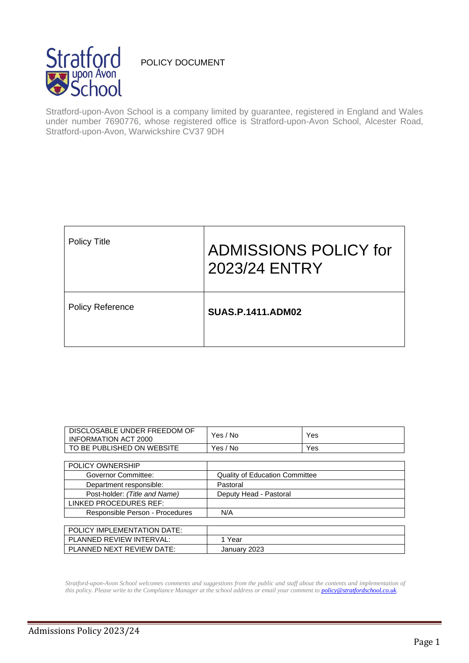

# POLICY DOCUMENT

Stratford-upon-Avon School is a company limited by guarantee, registered in England and Wales under number 7690776, whose registered office is Stratford-upon-Avon School, Alcester Road, Stratford-upon-Avon, Warwickshire CV37 9DH

| <b>Policy Title</b>     | <b>ADMISSIONS POLICY for</b><br>2023/24 ENTRY |
|-------------------------|-----------------------------------------------|
| <b>Policy Reference</b> | <b>SUAS.P.1411.ADM02</b>                      |

| DISCLOSABLE UNDER FREEDOM OF<br><b>INFORMATION ACT 2000</b> | Yes / No                              | Yes |
|-------------------------------------------------------------|---------------------------------------|-----|
| TO BE PUBLISHED ON WEBSITE                                  | Yes / No                              | Yes |
|                                                             |                                       |     |
| <b>POLICY OWNERSHIP</b>                                     |                                       |     |
| Governor Committee:                                         | <b>Quality of Education Committee</b> |     |
| Department responsible:                                     | Pastoral                              |     |
| Post-holder: (Title and Name)                               | Deputy Head - Pastoral                |     |
| LINKED PROCEDURES REF:                                      |                                       |     |
| Responsible Person - Procedures                             | N/A                                   |     |
|                                                             |                                       |     |
| POLICY IMPLEMENTATION DATE:                                 |                                       |     |
| PLANNED REVIEW INTERVAL:                                    | 1 Year                                |     |
| PLANNED NEXT REVIEW DATE:                                   | January 2023                          |     |

*Stratford-upon-Avon School welcomes comments and suggestions from the public and staff about the contents and implementation of this policy. Please write to the Compliance Manager at the school address or email your comment to [policy@stratfordschool.co.uk.](mailto:policy@stratfordschool.co.uk)*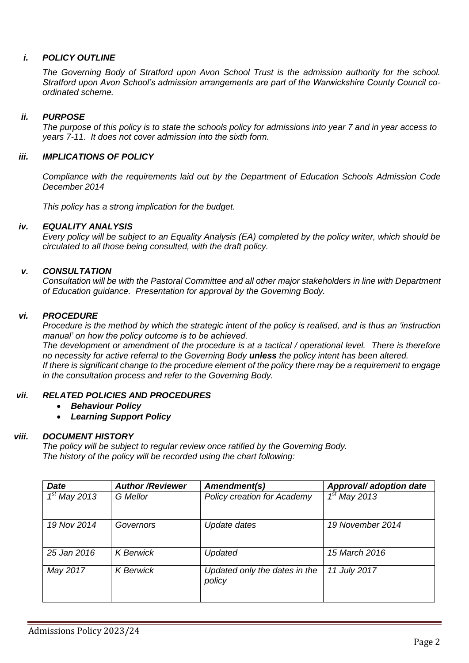## *i. POLICY OUTLINE*

*The Governing Body of Stratford upon Avon School Trust is the admission authority for the school. Stratford upon Avon School's admission arrangements are part of the Warwickshire County Council coordinated scheme.* 

### *ii. PURPOSE*

*The purpose of this policy is to state the schools policy for admissions into year 7 and in year access to years 7-11. It does not cover admission into the sixth form.*

### *iii. IMPLICATIONS OF POLICY*

*Compliance with the requirements laid out by the Department of Education Schools Admission Code December 2014*

*This policy has a strong implication for the budget.*

### *iv. EQUALITY ANALYSIS*

*Every policy will be subject to an Equality Analysis (EA) completed by the policy writer, which should be circulated to all those being consulted, with the draft policy.*

### *v. CONSULTATION*

*Consultation will be with the Pastoral Committee and all other major stakeholders in line with Department of Education guidance. Presentation for approval by the Governing Body.*

#### *vi. PROCEDURE*

*Procedure is the method by which the strategic intent of the policy is realised, and is thus an 'instruction manual' on how the policy outcome is to be achieved.* 

*The development or amendment of the procedure is at a tactical / operational level. There is therefore no necessity for active referral to the Governing Body unless the policy intent has been altered. If there is significant change to the procedure element of the policy there may be a requirement to engage in the consultation process and refer to the Governing Body.*

### *vii. RELATED POLICIES AND PROCEDURES*

- *Behaviour Policy*
- *Learning Support Policy*

### *viii. DOCUMENT HISTORY*

*The policy will be subject to regular review once ratified by the Governing Body. The history of the policy will be recorded using the chart following:*

| <b>Date</b>    | <b>Author/Reviewer</b> | Amendment(s)                            | Approval/ adoption date |
|----------------|------------------------|-----------------------------------------|-------------------------|
| $1st$ May 2013 | <b>G</b> Mellor        | Policy creation for Academy             | $1st$ May 2013          |
| 19 Nov 2014    | Governors              | Update dates                            | 19 November 2014        |
| 25 Jan 2016    | <b>K</b> Berwick       | Updated                                 | 15 March 2016           |
| May 2017       | <b>K</b> Berwick       | Updated only the dates in the<br>policy | 11 July 2017            |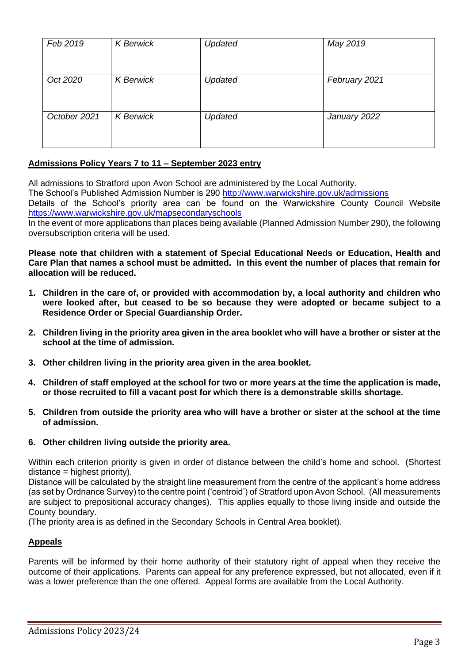| Feb 2019     | <b>K</b> Berwick | Updated | May 2019      |
|--------------|------------------|---------|---------------|
| Oct 2020     | <b>K</b> Berwick | Updated | February 2021 |
| October 2021 | <b>K</b> Berwick | Updated | January 2022  |

# **Admissions Policy Years 7 to 11 – September 2023 entry**

All admissions to Stratford upon Avon School are administered by the Local Authority. The School's Published Admission Number is 290 <http://www.warwickshire.gov.uk/admissions> Details of the School's priority area can be found on the Warwickshire County Council Website <https://www.warwickshire.gov.uk/mapsecondaryschools>

In the event of more applications than places being available (Planned Admission Number 290), the following oversubscription criteria will be used.

**Please note that children with a statement of Special Educational Needs or Education, Health and Care Plan that names a school must be admitted. In this event the number of places that remain for allocation will be reduced.** 

- **1. Children in the care of, or provided with accommodation by, a local authority and children who were looked after, but ceased to be so because they were adopted or became subject to a Residence Order or Special Guardianship Order.**
- **2. Children living in the priority area given in the area booklet who will have a brother or sister at the school at the time of admission.**
- **3. Other children living in the priority area given in the area booklet.**
- **4. Children of staff employed at the school for two or more years at the time the application is made, or those recruited to fill a vacant post for which there is a demonstrable skills shortage.**
- **5. Children from outside the priority area who will have a brother or sister at the school at the time of admission.**
- **6. Other children living outside the priority area.**

Within each criterion priority is given in order of distance between the child's home and school. (Shortest distance = highest priority).

Distance will be calculated by the straight line measurement from the centre of the applicant's home address (as set by Ordnance Survey) to the centre point ('centroid') of Stratford upon Avon School. (All measurements are subject to prepositional accuracy changes). This applies equally to those living inside and outside the County boundary.

(The priority area is as defined in the Secondary Schools in Central Area booklet).

### **Appeals**

Parents will be informed by their home authority of their statutory right of appeal when they receive the outcome of their applications. Parents can appeal for any preference expressed, but not allocated, even if it was a lower preference than the one offered. Appeal forms are available from the Local Authority.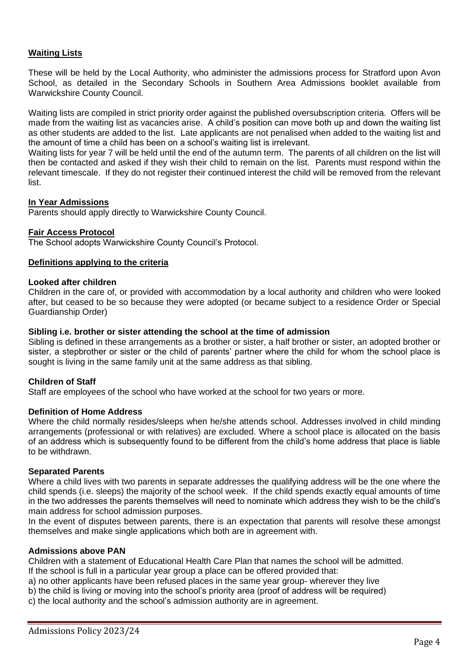### **Waiting Lists**

These will be held by the Local Authority, who administer the admissions process for Stratford upon Avon School, as detailed in the Secondary Schools in Southern Area Admissions booklet available from Warwickshire County Council.

Waiting lists are compiled in strict priority order against the published oversubscription criteria. Offers will be made from the waiting list as vacancies arise. A child's position can move both up and down the waiting list as other students are added to the list. Late applicants are not penalised when added to the waiting list and the amount of time a child has been on a school's waiting list is irrelevant.

Waiting lists for year 7 will be held until the end of the autumn term. The parents of all children on the list will then be contacted and asked if they wish their child to remain on the list. Parents must respond within the relevant timescale. If they do not register their continued interest the child will be removed from the relevant list.

#### **In Year Admissions**

Parents should apply directly to Warwickshire County Council.

#### **Fair Access Protocol**

The School adopts Warwickshire County Council's Protocol.

#### **Definitions applying to the criteria**

#### **Looked after children**

Children in the care of, or provided with accommodation by a local authority and children who were looked after, but ceased to be so because they were adopted (or became subject to a residence Order or Special Guardianship Order)

#### **Sibling i.e. brother or sister attending the school at the time of admission**

Sibling is defined in these arrangements as a brother or sister, a half brother or sister, an adopted brother or sister, a stepbrother or sister or the child of parents' partner where the child for whom the school place is sought is living in the same family unit at the same address as that sibling.

### **Children of Staff**

Staff are employees of the school who have worked at the school for two years or more.

#### **Definition of Home Address**

Where the child normally resides/sleeps when he/she attends school. Addresses involved in child minding arrangements (professional or with relatives) are excluded. Where a school place is allocated on the basis of an address which is subsequently found to be different from the child's home address that place is liable to be withdrawn.

#### **Separated Parents**

Where a child lives with two parents in separate addresses the qualifying address will be the one where the child spends (i.e. sleeps) the majority of the school week. If the child spends exactly equal amounts of time in the two addresses the parents themselves will need to nominate which address they wish to be the child's main address for school admission purposes.

In the event of disputes between parents, there is an expectation that parents will resolve these amongst themselves and make single applications which both are in agreement with.

#### **Admissions above PAN**

Children with a statement of Educational Health Care Plan that names the school will be admitted. If the school is full in a particular year group a place can be offered provided that:

- a) no other applicants have been refused places in the same year group- wherever they live
- b) the child is living or moving into the school's priority area (proof of address will be required)
- c) the local authority and the school's admission authority are in agreement.